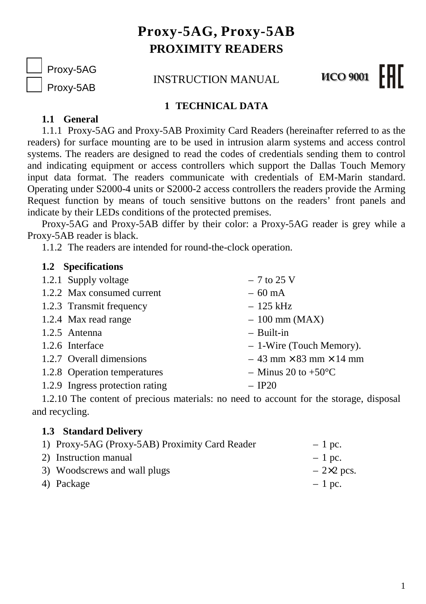# **Proxy-5AG, Proxy-5AB PROXIMITY READERS**

Proxy-5AG

Proxy-5AB

INSTRUCTION MANUAL

#### FHIT **MCO 9001**

### **1 TECHNICAL DATA**

## **1.1 General**

1.1.1 Proxy-5AG and Proxy-5AB Proximity Card Readers (hereinafter referred to as the readers) for surface mounting are to be used in intrusion alarm systems and access control systems. The readers are designed to read the codes of credentials sending them to control and indicating equipment or access controllers which support the Dallas Touch Memory input data format. The readers communicate with credentials of EM-Marin standard. Operating under S2000-4 units or S2000-2 access controllers the readers provide the Arming Request function by means of touch sensitive buttons on the readers' front panels and indicate by their LEDs conditions of the protected premises.

Proxy-5AG and Proxy-5AB differ by their color: a Proxy-5AG reader is grey while a Proxy-5AB reader is black.

1.1.2 The readers are intended for round-the-clock operation.

#### **1.2 Specifications**

| 1.2.1 Supply voltage            | $-7$ to 25 V                           |
|---------------------------------|----------------------------------------|
| 1.2.2 Max consumed current      | $-60$ mA                               |
| 1.2.3 Transmit frequency        | $-125$ kHz                             |
| 1.2.4 Max read range            | $-100$ mm (MAX)                        |
| 1.2.5 Antenna                   | $-$ Built-in                           |
| 1.2.6 Interface                 | - 1-Wire (Touch Memory).               |
| 1.2.7 Overall dimensions        | $-43$ mm $\times$ 83 mm $\times$ 14 mm |
| 1.2.8 Operation temperatures    | $-$ Minus 20 to +50 $\rm{^{\circ}C}$   |
| 1.2.9 Ingress protection rating | $-$ IP20                               |

1.2.10 The content of precious materials: no need to account for the storage, disposal and recycling.

### **1.3 Standard Delivery**

| 1) Proxy-5AG (Proxy-5AB) Proximity Card Reader | $-1$ pc.         |
|------------------------------------------------|------------------|
| 2) Instruction manual                          | $-1$ pc.         |
| 3) Woodscrews and wall plugs                   | $-2\times2$ pcs. |
| 4) Package                                     | $-1$ pc.         |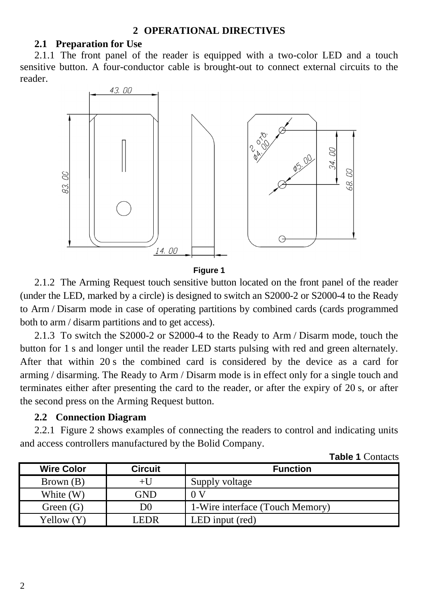#### **2.1 Preparation for Use**

2.1.1 The front panel of the reader is equipped with a two-color LED and a touch sensitive button. A four-conductor cable is brought-out to connect external circuits to the reader.



**Figure 1** 

2.1.2 The Arming Request touch sensitive button located on the front panel of the reader (under the LED, marked by a circle) is designed to switch an S2000-2 or S2000-4 to the Ready to Arm / Disarm mode in case of operating partitions by combined cards (cards programmed both to arm / disarm partitions and to get access).

2.1.3 To switch the S2000-2 or S2000-4 to the Ready to Arm / Disarm mode, touch the button for 1 s and longer until the reader LED starts pulsing with red and green alternately. After that within 20 s the combined card is considered by the device as a card for arming / disarming. The Ready to Arm / Disarm mode is in effect only for a single touch and terminates either after presenting the card to the reader, or after the expiry of 20 s, or after the second press on the Arming Request button.

### **2.2 Connection Diagram**

2.2.1 Figure 2 shows examples of connecting the readers to control and indicating units and access controllers manufactured by the Bolid Company.

| <b>Wire Color</b> | <b>Circuit</b> | <b>Function</b>                 |
|-------------------|----------------|---------------------------------|
| Brown(B)          | +U             | Supply voltage                  |
| White (W)         | GND            | 0 V                             |
| Green $(G)$       | D0             | 1-Wire interface (Touch Memory) |
| Yellow (Y)        | LEDR           | LED input (red)                 |

**Table 1** Contacts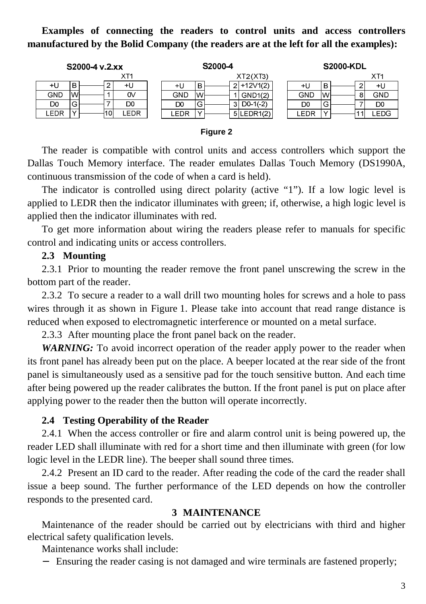**Examples of connecting the readers to control units and access controllers manufactured by the Bolid Company (the readers are at the left for all the examples):** 

| S2000-4 v.2.xx                  | S2000-4                 | <b>S2000-KDL</b>     |
|---------------------------------|-------------------------|----------------------|
| XT1                             | XT2(XT3)                | XT <sub>1</sub>      |
| в<br>+U<br>ົ<br>+U              | $2+12V1(2)$<br>в<br>+U  | в<br>+U<br>+U        |
| GND<br>0V<br>lwl                | Wl<br>GND<br>GND1(2)    | W<br>GND<br>GND<br>ິ |
| D0<br>⌒<br>DO<br>G              | $D0 - 1(-2)$<br>DO<br>G | DO<br>D0<br>w        |
| $\sqrt{}$<br>_EDR<br>.EDR<br>10 | LEDR<br>5 LEDR1(2)      | .EDG<br>LEDR         |

#### **Figure 2**

The reader is compatible with control units and access controllers which support the Dallas Touch Memory interface. The reader emulates Dallas Touch Memory (DS1990A, continuous transmission of the code of when a card is held).

The indicator is controlled using direct polarity (active "1"). If a low logic level is applied to LEDR then the indicator illuminates with green; if, otherwise, a high logic level is applied then the indicator illuminates with red.

To get more information about wiring the readers please refer to manuals for specific control and indicating units or access controllers.

#### **2.3 Mounting**

2.3.1 Prior to mounting the reader remove the front panel unscrewing the screw in the bottom part of the reader.

2.3.2 To secure a reader to a wall drill two mounting holes for screws and a hole to pass wires through it as shown in Figure 1. Please take into account that read range distance is reduced when exposed to electromagnetic interference or mounted on a metal surface.

2.3.3 After mounting place the front panel back on the reader.

*WARNING:* To avoid incorrect operation of the reader apply power to the reader when its front panel has already been put on the place. A beeper located at the rear side of the front panel is simultaneously used as a sensitive pad for the touch sensitive button. And each time after being powered up the reader calibrates the button. If the front panel is put on place after applying power to the reader then the button will operate incorrectly.

#### **2.4 Testing Operability of the Reader**

2.4.1 When the access controller or fire and alarm control unit is being powered up, the reader LED shall illuminate with red for a short time and then illuminate with green (for low logic level in the LEDR line). The beeper shall sound three times.

2.4.2 Present an ID card to the reader. After reading the code of the card the reader shall issue a beep sound. The further performance of the LED depends on how the controller responds to the presented card.

#### **3 MAINTENANCE**

Maintenance of the reader should be carried out by electricians with third and higher electrical safety qualification levels.

Maintenance works shall include:

− Ensuring the reader casing is not damaged and wire terminals are fastened properly;